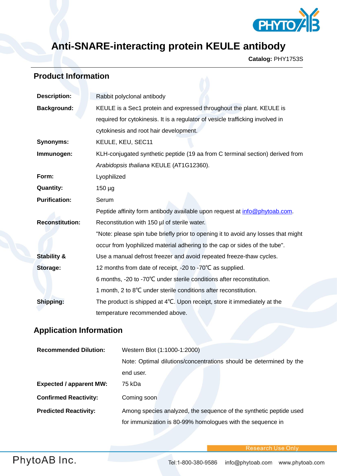

## **Anti-SNARE-interacting protein KEULE antibody**

**Catalog:** PHY1753S

## **Product Information**

| <b>Description:</b>    | Rabbit polyclonal antibody                                                         |  |
|------------------------|------------------------------------------------------------------------------------|--|
| <b>Background:</b>     | KEULE is a Sec1 protein and expressed throughout the plant. KEULE is               |  |
|                        | required for cytokinesis. It is a regulator of vesicle trafficking involved in     |  |
|                        | cytokinesis and root hair development.                                             |  |
| <b>Synonyms:</b>       | KEULE, KEU, SEC11                                                                  |  |
| Immunogen:             | KLH-conjugated synthetic peptide (19 aa from C terminal section) derived from      |  |
|                        | Arabidopsis thaliana KEULE (AT1G12360).                                            |  |
| Form:                  | Lyophilized                                                                        |  |
| <b>Quantity:</b>       | $150 \mu g$                                                                        |  |
| <b>Purification:</b>   | Serum                                                                              |  |
|                        | Peptide affinity form antibody available upon request at info@phytoab.com.         |  |
| <b>Reconstitution:</b> | Reconstitution with 150 µl of sterile water.                                       |  |
|                        | "Note: please spin tube briefly prior to opening it to avoid any losses that might |  |
|                        | occur from lyophilized material adhering to the cap or sides of the tube".         |  |
| <b>Stability &amp;</b> | Use a manual defrost freezer and avoid repeated freeze-thaw cycles.                |  |
| Storage:               | 12 months from date of receipt, -20 to -70°C as supplied.                          |  |
|                        | 6 months, -20 to -70°C under sterile conditions after reconstitution.              |  |
|                        | 1 month, 2 to 8°C under sterile conditions after reconstitution.                   |  |
| Shipping:              | The product is shipped at 4°C. Upon receipt, store it immediately at the           |  |
|                        | temperature recommended above.                                                     |  |

## **Application Information**

| <b>Recommended Dilution:</b>   | Western Blot (1:1000-1:2000)                                       |
|--------------------------------|--------------------------------------------------------------------|
|                                | Note: Optimal dilutions/concentrations should be determined by the |
|                                | end user.                                                          |
| <b>Expected / apparent MW:</b> | 75 kDa                                                             |
| <b>Confirmed Reactivity:</b>   | Coming soon                                                        |
| <b>Predicted Reactivity:</b>   | Among species analyzed, the sequence of the synthetic peptide used |
|                                | for immunization is 80-99% homologues with the sequence in         |

**Research Use Only**